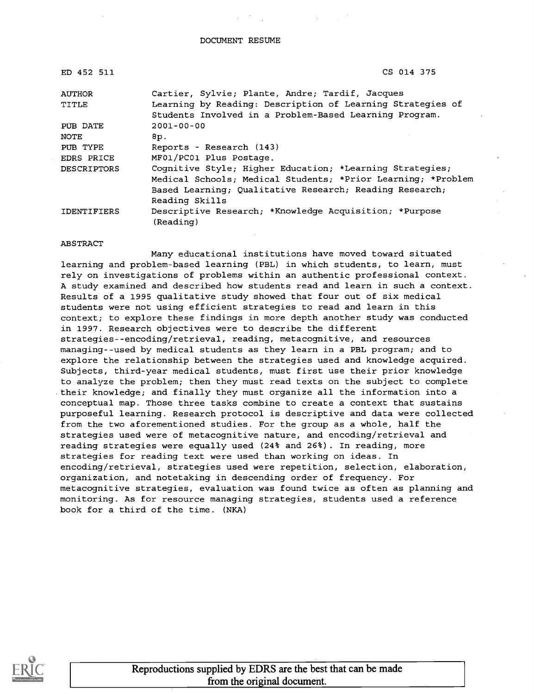| ED 452 511         | CS 014 375                                                          |  |  |
|--------------------|---------------------------------------------------------------------|--|--|
| AUTHOR             | Cartier, Sylvie; Plante, Andre; Tardif, Jacques                     |  |  |
| <b>TITLE</b>       | Learning by Reading: Description of Learning Strategies of          |  |  |
|                    | Students Involved in a Problem-Based Learning Program.              |  |  |
| PUB DATE           | $2001 - 00 - 00$                                                    |  |  |
| <b>NOTE</b>        | 8p.                                                                 |  |  |
| PUB TYPE           | Reports - Research (143)                                            |  |  |
| EDRS PRICE         | MF01/PC01 Plus Postage.                                             |  |  |
| <b>DESCRIPTORS</b> | Cognitive Style; Higher Education; *Learning Strategies;            |  |  |
|                    | Medical Schools; Medical Students; *Prior Learning; *Problem        |  |  |
|                    | Based Learning; Qualitative Research; Reading Research;             |  |  |
|                    | Reading Skills                                                      |  |  |
| <b>IDENTIFIERS</b> | Descriptive Research; *Knowledge Acquisition; *Purpose<br>(Reading) |  |  |

#### ABSTRACT

Many educational institutions have moved toward situated learning and problem-based learning (PBL) in which students, to learn, must rely on investigations of problems within an authentic professional context. A study examined and described how students read and learn in such a context. Results of a 1995 qualitative study showed that four out of six medical students were not using efficient strategies to read and learn in this context; to explore these findings in more depth another study was conducted in 1997. Research objectives were to describe the different strategies--encoding/retrieval, reading, metacognitive, and resources managing--used by medical students as they learn in a PBL program; and to explore the relationship between the strategies used and knowledge acquired. Subjects, third-year medical students, must first use their prior knowledge to analyze the problem; then they must read texts on the subject to complete their knowledge; and finally they must organize all the information into a conceptual map. Those three tasks combine to create a context that sustains purposeful learning. Research protocol is descriptive and data were collected from the two aforementioned studies. For the group as a whole, half the strategies used were of metacognitive nature, and encoding/retrieval and reading strategies were equally used (24% and 26%). In reading, more strategies for reading text were used than working on ideas. In encoding/retrieval, strategies used were repetition, selection, elaboration, organization, and notetaking in descending order of frequency. For metacognitive strategies, evaluation was found twice as often as planning and monitoring. As for resource managing strategies, students used a reference book for a third of the time. (NKA)

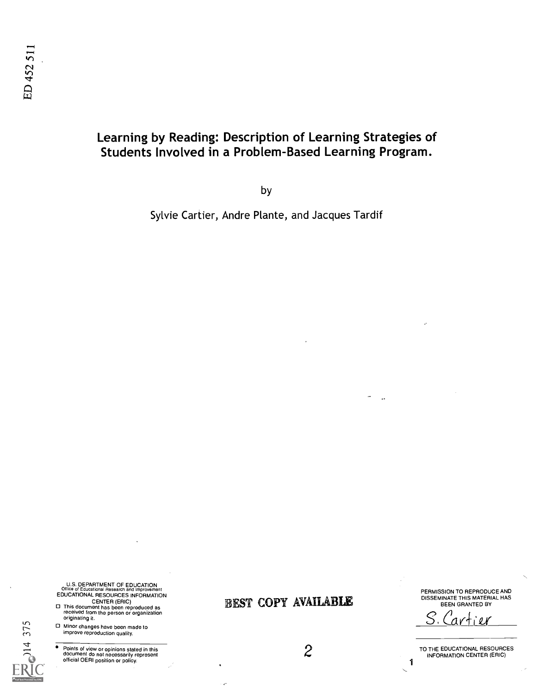## Learning by Reading: Description of Learning Strategies of Students Involved in a Problem-Based Learning Program.

by

Sylvie Cartier, Andre Plante, and Jacques Tardif

U.S. DEPARTMENT OF EDUCATION<br>Office of Educational Research and Improvement<br>EDUCATIONAL RESOURCES INFORMATION

- CENTER (ERIC) This document has been reproduced as received from the person or organization originating it.
- Minor changes have been made to improve reproduction quality.

14 375

Points of view or opinions stated in this<br>document do not necessarily represent<br>official OERI position or policy.

BEST COPY AVAILABLE

2

PERMISSION TO REPRODUCE AND DISSEMINATE THIS MATERIAL HAS BEEN GRANTED BY

 $S.$  Cartier

TO THE EDUCATIONAL RESOURCES INFORMATION CENTER (ERIC)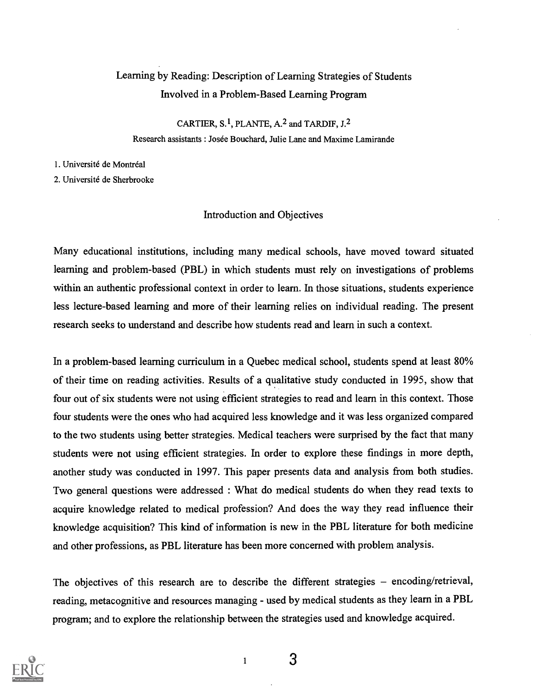# Learning by Reading: Description of Learning Strategies of Students Involved in a Problem-Based Learning Program

CARTIER, S.1, PLANTE, A.2 and TARDIF, J.2 Research assistants : Josée Bouchard, Julie Lane and Maxime Lamirande

1. Université de Montréal

2. Universite de Sherbrooke

### Introduction and Objectives

Many educational institutions, including many medical schools, have moved toward situated learning and problem-based (PBL) in which students must rely on investigations of problems within an authentic professional context in order to learn. In those situations, students experience less lecture-based learning and more of their learning relies on individual reading. The present research seeks to understand and describe how students read and learn in such a context.

In a problem-based learning curriculum in a Quebec medical school, students spend at least 80% of their time on reading activities. Results of a qualitative study conducted in 1995, show that four out of six students were not using efficient strategies to read and learn in this context. Those four students were the ones who had acquired less knowledge and it was less organized compared to the two students using better strategies. Medical teachers were surprised by the fact that many students were not using efficient strategies. In order to explore these fmdings in more depth, another study was conducted in 1997. This paper presents data and analysis from both studies. Two general questions were addressed : What do medical students do when they read texts to acquire knowledge related to medical profession? And does the way they read influence their knowledge acquisition? This kind of information is new in the PBL literature for both medicine and other professions, as PBL literature has been more concerned with problem analysis.

The objectives of this research are to describe the different strategies  $-$  encoding/retrieval, reading, metacognitive and resources managing - used by medical students as they learn in a PBL program; and to explore the relationship between the strategies used and knowledge acquired.



1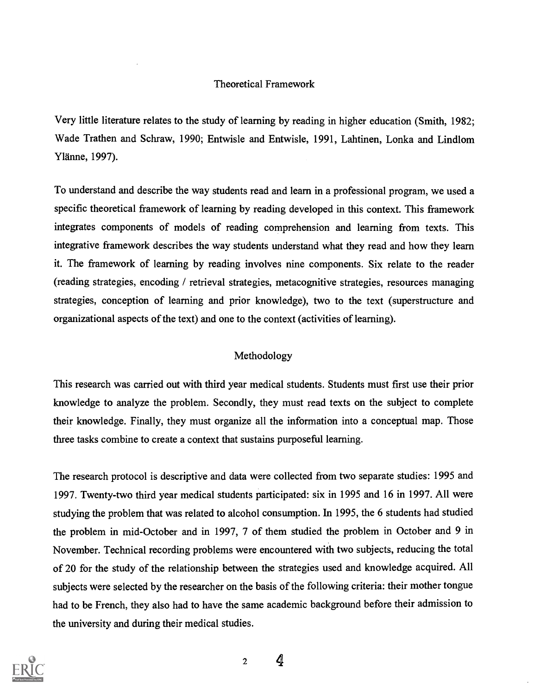### Theoretical Framework

Very little literature relates to the study of learning by reading in higher education (Smith, 1982; Wade Trathen and Schraw, 1990; Entwisle and Entwisle, 1991, Lahtinen, Lonka and Lindlom Ylanne, 1997).

To understand and describe the way students read and learn in a professional program, we used a specific theoretical framework of learning by reading developed in this context. This framework integrates components of models of reading comprehension and learning from texts. This integrative framework describes the way students understand what they read and how they learn it. The framework of learning by reading involves nine components. Six relate to the reader (reading strategies, encoding / retrieval strategies, metacognitive strategies, resources managing strategies, conception of learning and prior knowledge), two to the text (superstructure and organizational aspects of the text) and one to the context (activities of learning).

### Methodology

This research was carried out with third year medical students. Students must first use their prior knowledge to analyze the problem. Secondly, they must read texts on the subject to complete their knowledge. Finally, they must organize all the information into a conceptual map. Those three tasks combine to create a context that sustains purposeful learning.

The research protocol is descriptive and data were collected from two separate studies: 1995 and 1997. Twenty-two third year medical students participated: six in 1995 and 16 in 1997. All were studying the problem that was related to alcohol consumption. In 1995, the 6 students had studied the problem in mid-October and in 1997, 7 of them studied the problem in October and 9 in November. Technical recording problems were encountered with two subjects, reducing the total of 20 for the study of the relationship between the strategies used and knowledge acquired. All subjects were selected by the researcher on the basis of the following criteria: their mother tongue had to be French, they also had to have the same academic background before their admission to the university and during their medical studies.

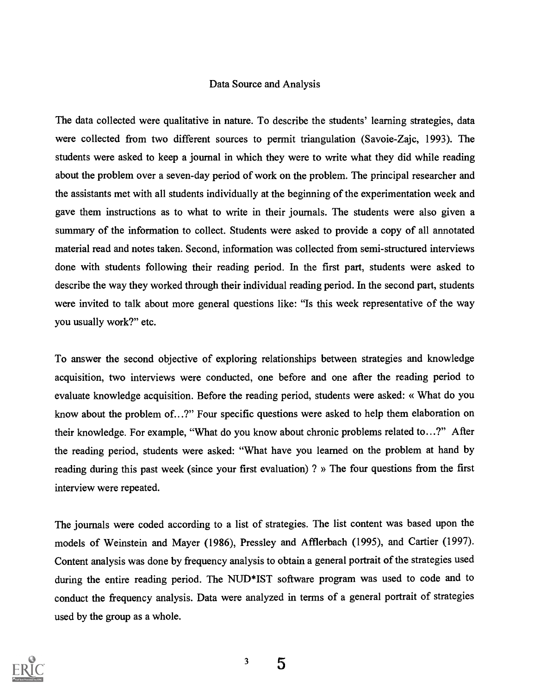### Data Source and Analysis

The data collected were qualitative in nature. To describe the students' learning strategies, data were collected from two different sources to permit triangulation (Savoie-Zajc, 1993). The students were asked to keep a journal in which they were to write what they did while reading about the problem over a seven-day period of work on the problem. The principal researcher and the assistants met with all students individually at the beginning of the experimentation week and gave them instructions as to what to write in their journals. The students were also given a summary of the information to collect. Students were asked to provide a copy of all annotated material read and notes taken. Second, information was collected from semi-structured interviews done with students following their reading period. In the first part, students were asked to describe the way they worked through their individual reading period. In the second part, students were invited to talk about more general questions like: "Is this week representative of the way you usually work?" etc.

To answer the second objective of exploring relationships between strategies and knowledge acquisition, two interviews were conducted, one before and one after the reading period to evaluate knowledge acquisition. Before the reading period, students were asked: « What do you know about the problem of...?" Four specific questions were asked to help them elaboration on their knowledge. For example, "What do you know about chronic problems related to...?" After the reading period, students were asked: "What have you learned on the problem at hand by reading during this past week (since your first evaluation) ? » The four questions from the first interview were repeated.

The journals were coded according to a list of strategies. The list content was based upon the models of Weinstein and Mayer (1986), Pressley and Afflerbach (1995), and Cartier (1997). Content analysis was done by frequency analysis to obtain a general portrait of the strategies used during the entire reading period. The NUD\*IST software program was used to code and to conduct the frequency analysis. Data were analyzed in terms of a general portrait of strategies used by the group as a whole.

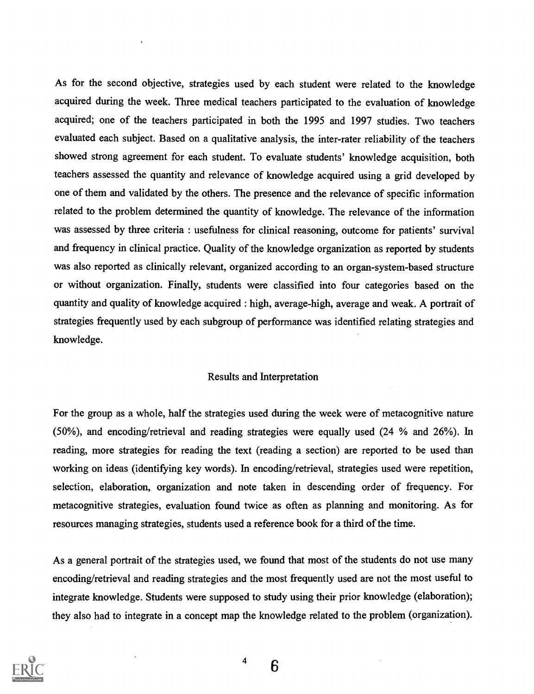As for the second objective, strategies used by each student were related to the knowledge acquired during the week. Three medical teachers participated to the evaluation of knowledge acquired; one of the teachers participated in both the 1995 and 1997 studies. Two teachers evaluated each subject. Based on a qualitative analysis, the inter-rater reliability of the teachers showed strong agreement for each student. To evaluate students' knowledge acquisition, both teachers assessed the quantity and relevance of knowledge acquired using a grid developed by one of them and validated by the others. The presence and the relevance of specific information related to the problem determined the quantity of knowledge. The relevance of the information was assessed by three criteria : usefulness for clinical reasoning, outcome for patients' survival and frequency in clinical practice. Quality of the knowledge organization as reported by students was also reported as clinically relevant, organized according to an organ-system-based structure or without organization. Finally, students were classified into four categories based on the quantity and quality of knowledge acquired : high, average-high, average and weak. A portrait of strategies frequently used by each subgroup of performance was identified relating strategies and knowledge.

#### Results and Interpretation

For the group as a whole, half the strategies used during the week were of metacognitive nature (50%), and encoding/retrieval and reading strategies were equally used (24 % and 26%). In reading, more strategies for reading the text (reading a section) are reported to be used than working on ideas (identifying key words). In encoding/retrieval, strategies used were repetition, selection, elaboration, organization and note taken in descending order of frequency. For metacognitive strategies, evaluation found twice as often as planning and monitoring. As for resources managing strategies, students used a reference book for a third of the time.

As a general portrait of the strategies used, we found that most of the students do not use many encoding/retrieval and reading strategies and the most frequently used are not the most useful to integrate knowledge. Students were supposed to study using their prior knowledge (elaboration); they also had to integrate in a concept map the knowledge related to the problem (organization).

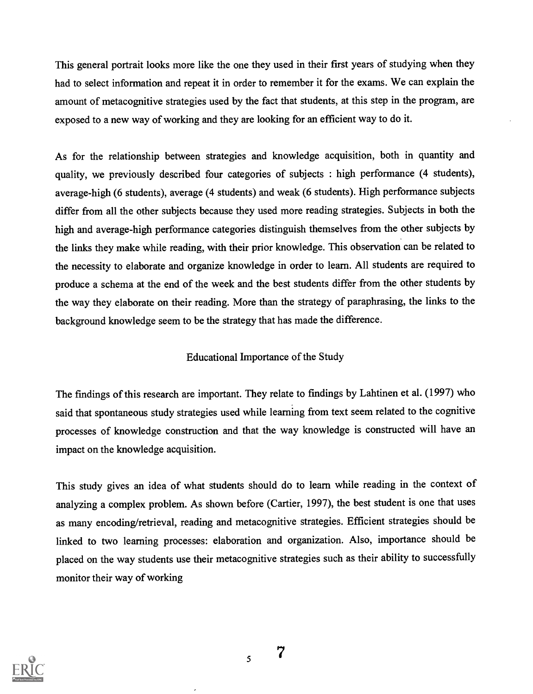This general portrait looks more like the one they used in their first years of studying when they had to select information and repeat it in order to remember it for the exams. We can explain the amount of metacognitive strategies used by the fact that students, at this step in the program, are exposed to a new way of working and they are looking for an efficient way to do it.

As for the relationship between strategies and knowledge acquisition, both in quantity and quality, we previously described four categories of subjects : high performance (4 students), average-high (6 students), average (4 students) and weak (6 students). High performance subjects differ from all the other subjects because they used more reading strategies. Subjects in both the high and average-high performance categories distinguish themselves from the other subjects by the links they make while reading, with their prior knowledge. This observation can be related to the necessity to elaborate and organize knowledge in order to learn. All students are required to produce a schema at the end of the week and the best students differ from the other students by the way they elaborate on their reading. More than the strategy of paraphrasing, the links to the background knowledge seem to be the strategy that has made the difference.

#### Educational Importance of the Study

The fmdings of this research are important. They relate to fmdings by Lahtinen et al. (1997) who said that spontaneous study strategies used while learning from text seem related to the cognitive processes of knowledge construction and that the way knowledge is constructed will have an impact on the knowledge acquisition.

This study gives an idea of what students should do to learn while reading in the context of analyzing a complex problem. As shown before (Cartier, 1997), the best student is one that uses as many encoding/retrieval, reading and metacognitive strategies. Efficient strategies should be linked to two learning processes: elaboration and organization. Also, importance should be placed on the way students use their metacognitive strategies such as their ability to successfully monitor their way of working



7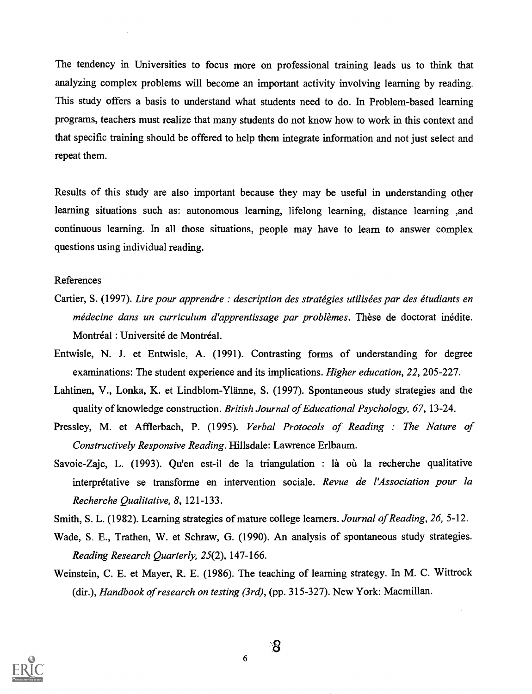The tendency in Universities to focus more on professional training leads us to think that analyzing complex problems will become an important activity involving learning by reading. This study offers a basis to understand what students need to do. In Problem-based learning programs, teachers must realize that many students do not know how to work in this context and that specific training should be offered to help them integrate information and not just select and repeat them.

Results of this study are also important because they may be useful in understanding other learning situations such as: autonomous learning, lifelong learning, distance learning ,and continuous learning. In all those situations, people may have to learn to answer complex questions using individual reading.

#### References

- Cartier, S. (1997). Lire pour apprendre : description des stratégies utilisées par des étudiants en médecine dans un curriculum d'apprentissage par problèmes. Thèse de doctorat inédite. Montréal : Université de Montréal.
- Entwisle, N. J. et Entwisle, A. (1991). Contrasting forms of understanding for degree examinations: The student experience and its implications. *Higher education*, 22, 205-227.
- Lahtinen, V., Lonka, K. et Lindblom-Ylanne, S. (1997). Spontaneous study strategies and the quality of knowledge construction. British Journal of Educational Psychology, 67, 13-24.
- Pressley, M. et Afflerbach, P. (1995). Verbal Protocols of Reading : The Nature of Constructively Responsive Reading. Hillsdale: Lawrence Erlbaum.
- Savoie-Zajc, L. (1993). Qu'en est-il de la triangulation : là où la recherche qualitative interprétative se transforme en intervention sociale. Revue de l'Association pour la Recherche Qualitative, 8, 121-133.
- Smith, S. L. (1982). Learning strategies of mature college learners. Journal of Reading, 26, 5-12.
- Wade, S. E., Trathen, W. et Schraw, G. (1990). An analysis of spontaneous study strategies. Reading Research Quarterly, 25(2), 147-166.
- Weinstein, C. E. et Mayer, R. E. (1986). The teaching of learning strategy. In M. C. Wittrock (dir.), Handbook of research on testing  $(3rd)$ , (pp. 315-327). New York: Macmillan.